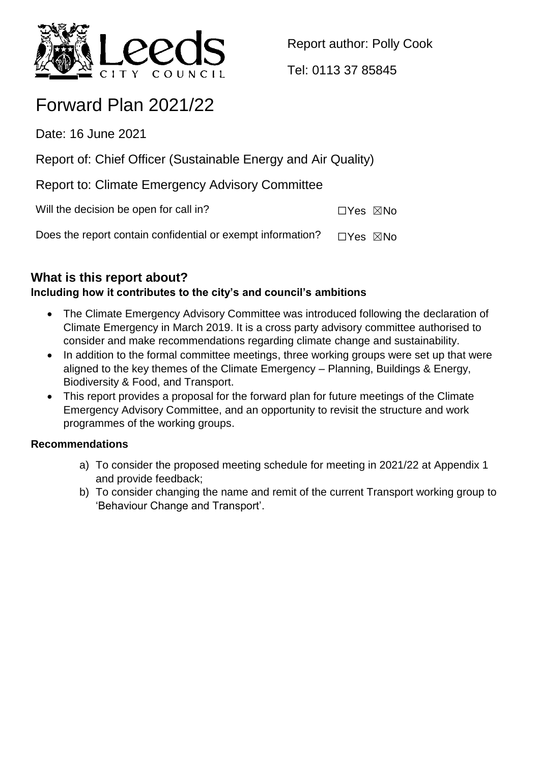

Report author: Polly Cook

Tel: 0113 37 85845

# Forward Plan 2021/22

Date: 16 June 2021

Report of: Chief Officer (Sustainable Energy and Air Quality)

Report to: Climate Emergency Advisory Committee

Will the decision be open for call in? ☐Yes ☒No

Does the report contain confidential or exempt information?  $\Box$ Yes  $\boxtimes$ No

# **What is this report about?**

## **Including how it contributes to the city's and council's ambitions**

- The Climate Emergency Advisory Committee was introduced following the declaration of Climate Emergency in March 2019. It is a cross party advisory committee authorised to consider and make recommendations regarding climate change and sustainability.
- In addition to the formal committee meetings, three working groups were set up that were aligned to the key themes of the Climate Emergency – Planning, Buildings & Energy, Biodiversity & Food, and Transport.
- This report provides a proposal for the forward plan for future meetings of the Climate Emergency Advisory Committee, and an opportunity to revisit the structure and work programmes of the working groups.

## **Recommendations**

- a) To consider the proposed meeting schedule for meeting in 2021/22 at Appendix 1 and provide feedback;
- b) To consider changing the name and remit of the current Transport working group to 'Behaviour Change and Transport'.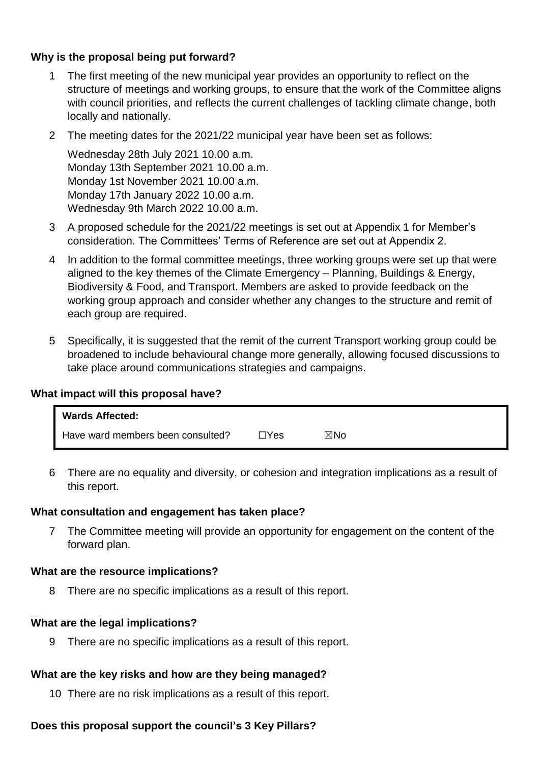#### **Why is the proposal being put forward?**

- The first meeting of the new municipal year provides an opportunity to reflect on the structure of meetings and working groups, to ensure that the work of the Committee aligns with council priorities, and reflects the current challenges of tackling climate change, both locally and nationally.
- 2 The meeting dates for the 2021/22 municipal year have been set as follows:

Wednesday 28th July 2021 10.00 a.m. Monday 13th September 2021 10.00 a.m. Monday 1st November 2021 10.00 a.m. Monday 17th January 2022 10.00 a.m. Wednesday 9th March 2022 10.00 a.m.

- 3 A proposed schedule for the 2021/22 meetings is set out at Appendix 1 for Member's consideration. The Committees' Terms of Reference are set out at Appendix 2.
- 4 In addition to the formal committee meetings, three working groups were set up that were aligned to the key themes of the Climate Emergency – Planning, Buildings & Energy, Biodiversity & Food, and Transport. Members are asked to provide feedback on the working group approach and consider whether any changes to the structure and remit of each group are required.
- 5 Specifically, it is suggested that the remit of the current Transport working group could be broadened to include behavioural change more generally, allowing focused discussions to take place around communications strategies and campaigns.

#### **What impact will this proposal have?**

| <b>Wards Affected:</b>            |      |     |  |
|-----------------------------------|------|-----|--|
| Have ward members been consulted? | ⊐Yes | ⊠No |  |

6 There are no equality and diversity, or cohesion and integration implications as a result of this report.

#### **What consultation and engagement has taken place?**

7 The Committee meeting will provide an opportunity for engagement on the content of the forward plan.

#### **What are the resource implications?**

8 There are no specific implications as a result of this report.

#### **What are the legal implications?**

9 There are no specific implications as a result of this report.

#### **What are the key risks and how are they being managed?**

10 There are no risk implications as a result of this report.

#### **Does this proposal support the council's 3 Key Pillars?**